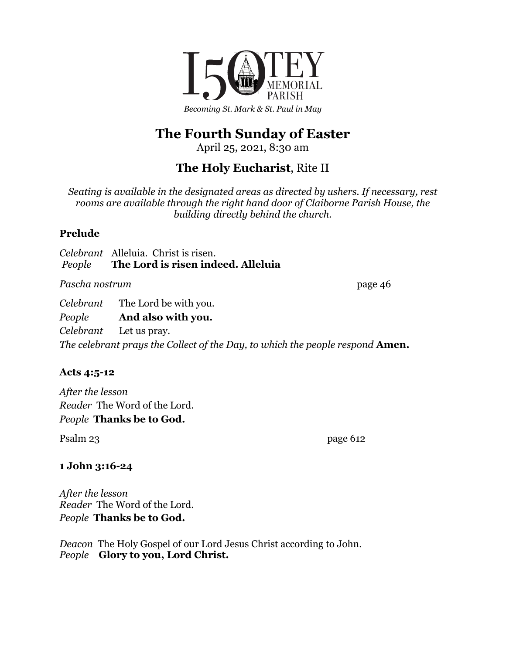

# **The Fourth Sunday of Easter**

April 25, 2021, 8:30 am

# **The Holy Eucharist**, Rite II

*Seating is available in the designated areas as directed by ushers. If necessary, rest rooms are available through the right hand door of Claiborne Parish House, the building directly behind the church.*

### **Prelude**

*Celebrant* Alleluia. Christ is risen. *People* **The Lord is risen indeed. Alleluia**

Pascha nostrum page 46

*Celebrant* The Lord be with you.

*People* **And also with you.**

*Celebrant* Let us pray. *The celebrant prays the Collect of the Day, to which the people respond* **Amen.**

## **Acts 4:5-12**

*After the lesson Reader* The Word of the Lord. *People* **Thanks be to God.**

Psalm 23 page 612

## **1 John 3:16-24**

*After the lesson Reader* The Word of the Lord. *People* **Thanks be to God.**

*Deacon* The Holy Gospel of our Lord Jesus Christ according to John. *People* **Glory to you, Lord Christ.**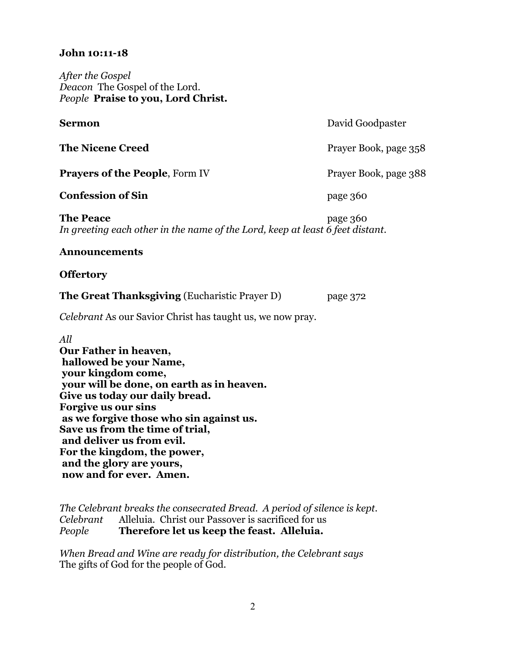#### **John 10:11-18**

*After the Gospel Deacon* The Gospel of the Lord. *People* **Praise to you, Lord Christ.**

| Sermon                                                                                            | David Goodpaster      |
|---------------------------------------------------------------------------------------------------|-----------------------|
| <b>The Nicene Creed</b>                                                                           | Prayer Book, page 358 |
| <b>Prayers of the People, Form IV</b>                                                             | Prayer Book, page 388 |
| <b>Confession of Sin</b>                                                                          | page 360              |
| <b>The Peace</b><br>In greeting each other in the name of the Lord, keep at least 6 feet distant. | page 360              |
| <b>Announcements</b>                                                                              |                       |
| <b>Offertory</b>                                                                                  |                       |
| <b>The Great Thanksgiving (Eucharistic Prayer D)</b>                                              | page 372              |
| <i>Celebrant</i> As our Savior Christ has taught us, we now pray.                                 |                       |
| A 11                                                                                              |                       |

*All* **Our Father in heaven, hallowed be your Name, your kingdom come, your will be done, on earth as in heaven. Give us today our daily bread. Forgive us our sins as we forgive those who sin against us. Save us from the time of trial, and deliver us from evil. For the kingdom, the power, and the glory are yours, now and for ever. Amen.**

*The Celebrant breaks the consecrated Bread. A period of silence is kept. Celebrant* Alleluia. Christ our Passover is sacrificed for us *People* **Therefore let us keep the feast. Alleluia.**

*When Bread and Wine are ready for distribution, the Celebrant says* The gifts of God for the people of God.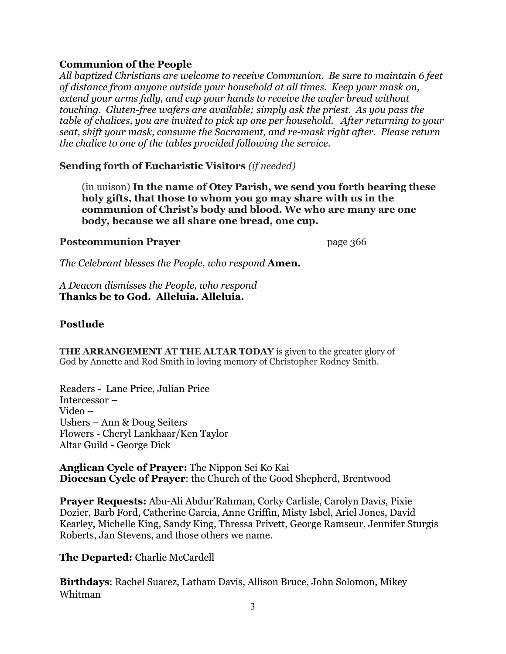#### **Communion of the People**

*All baptized Christians are welcome to receive Communion. Be sure to maintain 6 feet of distance from anyone outside your household at all times. Keep your mask on, extend your arms fully, and cup your hands to receive the wafer bread without touching. Gluten-free wafers are available; simply ask the priest. As you pass the table of chalices, you are invited to pick up one per household. After returning to your seat, shift your mask, consume the Sacrament, and re-mask right after. Please return the chalice to one of the tables provided following the service.*

**Sending forth of Eucharistic Visitors** *(if needed)*

(in unison) **In the name of Otey Parish, we send you forth bearing these holy gifts, that those to whom you go may share with us in the communion of Christ's body and blood. We who are many are one body, because we all share one bread, one cup.**

#### **Postcommunion Prayer** page 366

*The Celebrant blesses the People, who respond* **Amen.**

*A Deacon dismisses the People, who respond* **Thanks be to God. Alleluia. Alleluia.**

#### **Postlude**

**THE ARRANGEMENT AT THE ALTAR TODAY** is given to the greater glory of God by Annette and Rod Smith in loving memory of Christopher Rodney Smith.

Readers - Lane Price, Julian Price Intercessor – Video – Ushers – Ann & Doug Seiters Flowers - Cheryl Lankhaar/Ken Taylor Altar Guild - George Dick

**Anglican Cycle of Prayer:** The Nippon Sei Ko Kai **Diocesan Cycle of Prayer**: the Church of the Good Shepherd, Brentwood

**Prayer Requests:** Abu-Ali Abdur'Rahman, Corky Carlisle, Carolyn Davis, Pixie Dozier, Barb Ford, Catherine Garcia, Anne Griffin, Misty Isbel, Ariel Jones, David Kearley, Michelle King, Sandy King, Thressa Privett, George Ramseur, Jennifer Sturgis Roberts, Jan Stevens, and those others we name.

#### **The Departed:** Charlie McCardell

**Birthdays**: Rachel Suarez, Latham Davis, Allison Bruce, John Solomon, Mikey Whitman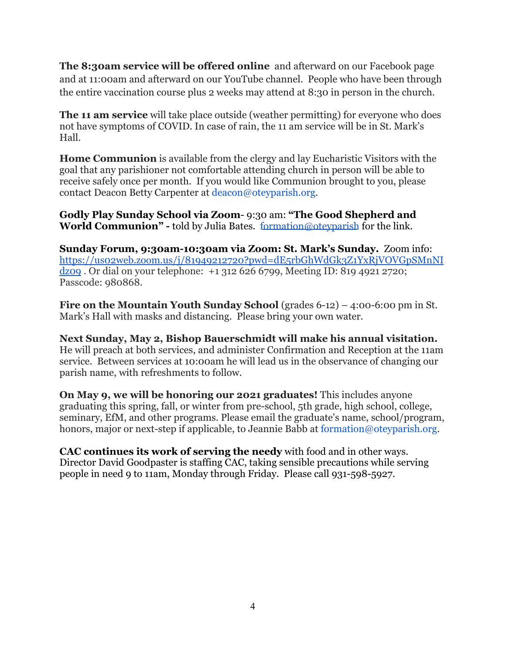**The 8:30am service will be offered online** and afterward on our Facebook page and at 11:00am and afterward on our YouTube channel. People who have been through the entire vaccination course plus 2 weeks may attend at 8:30 in person in the church.

**The 11 am service** will take place outside (weather permitting) for everyone who does not have symptoms of COVID. In case of rain, the 11 am service will be in St. Mark's Hall.

**Home Communion** is available from the clergy and lay Eucharistic Visitors with the goal that any parishioner not comfortable attending church in person will be able to receive safely once per month. If you would like Communion brought to you, please contact Deacon Betty Carpenter at deacon@oteyparish.org.

**Godly Play Sunday School via Zoom**- 9:30 am: **"The Good Shepherd and World Communion" -** told by Julia Bates. [formation@ote](mailto:formation@oteyparish.org)yparish for the link.

**Sunday Forum, 9:30am-10:30am via Zoom: St. Mark's Sunday.** Zoom info: [https://us02web.zoom.us/j/81949212720?pwd=dE5rbGhWdGk3Z1YxRjVOVGpSMnNI](https://us02web.zoom.us/j/81949212720?pwd=dE5rbGhWdGk3Z1YxRjVOVGpSMnNIdz09) [dz09](https://us02web.zoom.us/j/81949212720?pwd=dE5rbGhWdGk3Z1YxRjVOVGpSMnNIdz09) . Or dial on your telephone: +1 312 626 6799, Meeting ID: 819 4921 2720; Passcode: 980868.

**Fire on the Mountain Youth Sunday School** (grades 6-12) – 4:00-6:00 pm in St. Mark's Hall with masks and distancing. Please bring your own water.

**Next Sunday, May 2, Bishop Bauerschmidt will make his annual visitation.** He will preach at both services, and administer Confirmation and Reception at the 11am service. Between services at 10:00am he will lead us in the observance of changing our parish name, with refreshments to follow.

**On May 9, we will be honoring our 2021 graduates!** This includes anyone graduating this spring, fall, or winter from pre-school, 5th grade, high school, college, seminary, EfM, and other programs. Please email the graduate's name, school/program, honors, major or next-step if applicable, to Jeannie Babb at formation@oteyparish.org.

**CAC continues its work of serving the needy** with food and in other ways. Director David Goodpaster is staffing CAC, taking sensible precautions while serving people in need 9 to 11am, Monday through Friday. Please call 931-598-5927.